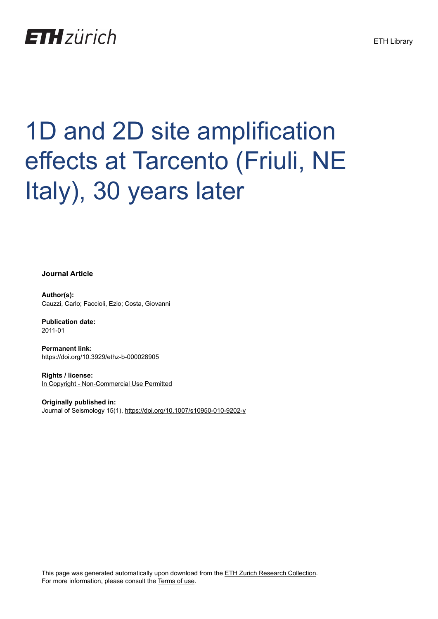## **ETH**zürich

# 1D and 2D site amplification effects at Tarcento (Friuli, NE Italy), 30 years later

**Journal Article**

**Author(s):** Cauzzi, Carlo; Faccioli, Ezio; Costa, Giovanni

**Publication date:** 2011-01

**Permanent link:** <https://doi.org/10.3929/ethz-b-000028905>

**Rights / license:** [In Copyright - Non-Commercial Use Permitted](http://rightsstatements.org/page/InC-NC/1.0/)

**Originally published in:** Journal of Seismology 15(1), <https://doi.org/10.1007/s10950-010-9202-y>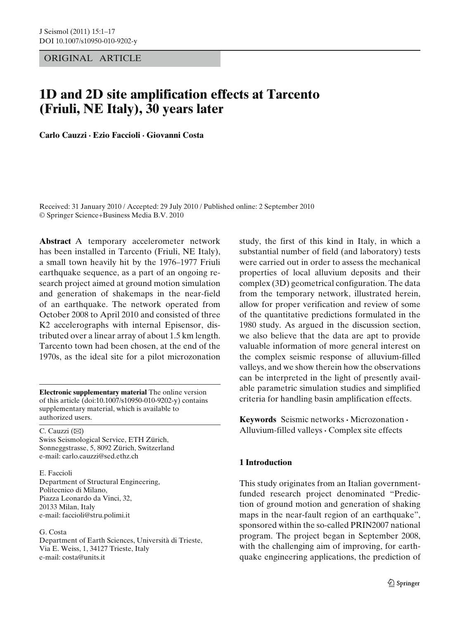#### ORIGINAL ARTICLE

### **1D and 2D site amplification effects at Tarcento (Friuli, NE Italy), 30 years later**

**Carlo Cauzzi · Ezio Faccioli · Giovanni Costa**

Received: 31 January 2010 / Accepted: 29 July 2010 / Published online: 2 September 2010 © Springer Science+Business Media B.V. 2010

**Abstract** A temporary accelerometer network has been installed in Tarcento (Friuli, NE Italy), a small town heavily hit by the 1976–1977 Friuli earthquake sequence, as a part of an ongoing research project aimed at ground motion simulation and generation of shakemaps in the near-field of an earthquake. The network operated from October 2008 to April 2010 and consisted of three K2 accelerographs with internal Episensor, distributed over a linear array of about 1.5 km length. Tarcento town had been chosen, at the end of the 1970s, as the ideal site for a pilot microzonation

**Electronic supplementary material** The online version of this article (doi[:10.1007/s10950-010-9202-y\)](http://dx.doi.org/10.1007/s10950-010-9202-y) contains supplementary material, which is available to authorized users.

C. Cauzzi  $(\boxtimes)$ Swiss Seismological Service, ETH Zürich, Sonneggstrasse, 5, 8092 Zürich, Switzerland e-mail: carlo.cauzzi@sed.ethz.ch

E. Faccioli Department of Structural Engineering, Politecnico di Milano, Piazza Leonardo da Vinci, 32, 20133 Milan, Italy

e-mail: faccioli@stru.polimi.it

G. Costa

Department of Earth Sciences, Università di Trieste, Via E. Weiss, 1, 34127 Trieste, Italy e-mail: costa@units.it

study, the first of this kind in Italy, in which a substantial number of field (and laboratory) tests were carried out in order to assess the mechanical properties of local alluvium deposits and their complex (3D) geometrical configuration. The data from the temporary network, illustrated herein, allow for proper verification and review of some of the quantitative predictions formulated in the 1980 study. As argued in the discussion section, we also believe that the data are apt to provide valuable information of more general interest on the complex seismic response of alluvium-filled valleys, and we show therein how the observations can be interpreted in the light of presently available parametric simulation studies and simplified criteria for handling basin amplification effects.

**Keywords** Seismic networks **·** Microzonation **·** Alluvium-filled valleys **·** Complex site effects

#### **1 Introduction**

This study originates from an Italian governmentfunded research project denominated "Prediction of ground motion and generation of shaking maps in the near-fault region of an earthquake", sponsored within the so-called PRIN2007 national program. The project began in September 2008, with the challenging aim of improving, for earthquake engineering applications, the prediction of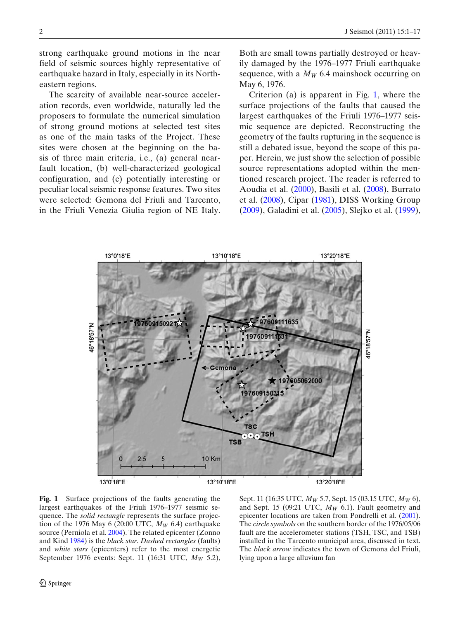<span id="page-2-0"></span>strong earthquake ground motions in the near field of seismic sources highly representative of earthquake hazard in Italy, especially in its Northeastern regions.

The scarcity of available near-source acceleration records, even worldwide, naturally led the proposers to formulate the numerical simulation of strong ground motions at selected test sites as one of the main tasks of the Project. These sites were chosen at the beginning on the basis of three main criteria, i.e., (a) general nearfault location, (b) well-characterized geological configuration, and (c) potentially interesting or peculiar local seismic response features. Two sites were selected: Gemona del Friuli and Tarcento, in the Friuli Venezia Giulia region of NE Italy. Both are small towns partially destroyed or heavily damaged by the 1976–1977 Friuli earthquake sequence, with a  $M_W$  6.4 mainshock occurring on May 6, 1976.

Criterion (a) is apparent in Fig. 1, where the surface projections of the faults that caused the largest earthquakes of the Friuli 1976–1977 seismic sequence are depicted. Reconstructing the geometry of the faults rupturing in the sequence is still a debated issue, beyond the scope of this paper. Herein, we just show the selection of possible source representations adopted within the mentioned research project. The reader is referred to Aoudia et al[.](#page-15-0) [\(2000\)](#page-15-0), Basili et al[.](#page-15-0) [\(2008](#page-15-0)), Burrato et al[.](#page-16-0) [\(2008](#page-16-0)), Cipa[r](#page-16-0) [\(1981](#page-16-0)), DISS Working Grou[p](#page-16-0) [\(2009\)](#page-16-0), Galadini et al[.](#page-16-0) [\(2005\)](#page-16-0), Slejko et al[.](#page-17-0) [\(1999\)](#page-17-0),



**Fig. 1** Surface projections of the faults generating the largest earthquakes of the Friuli 1976–1977 seismic sequence. The *solid rectangle* represents the surface projection of the 1976 May 6 (20:00 UTC,  $M_W$  6.4) earthquake source (Perniola et al[.](#page-17-0) [2004\)](#page-17-0). The related epicenter (Zonno and Kin[d](#page-17-0) [1984](#page-17-0)) is the *black star*. *Dashed rectangles* (faults) and *white stars* (epicenters) refer to the most energetic September 1976 events: Sept. 11 (16:31 UTC, *MW* 5.2),

Sept. 11 (16:35 UTC, *MW* 5.7, Sept. 15 (03.15 UTC, *MW* 6), and Sept. 15 (09:21 UTC, *MW* 6.1). Fault geometry and epicenter locations are taken from Pondrelli et al[.](#page-17-0) [\(2001\)](#page-17-0). The *circle symbols* on the southern border of the 1976/05/06 fault are the accelerometer stations (TSH, TSC, and TSB) installed in the Tarcento municipal area, discussed in text. The *black arrow* indicates the town of Gemona del Friuli, lying upon a large alluvium fan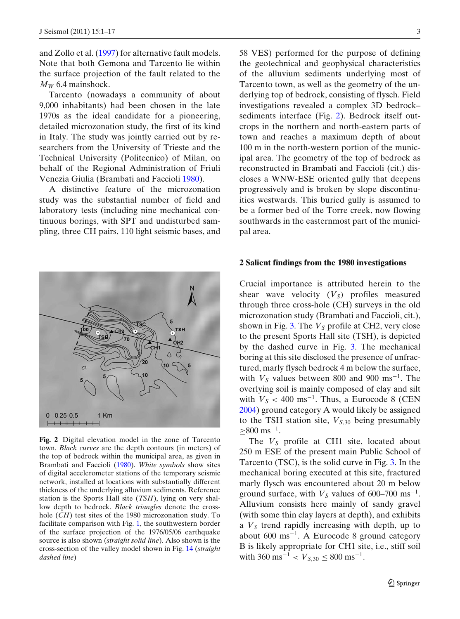<span id="page-3-0"></span>and Zollo et al[.](#page-17-0) [\(1997](#page-17-0)) for alternative fault models. Note that both Gemona and Tarcento lie within the surface projection of the fault related to the *MW* 6.4 mainshock.

Tarcento (nowadays a community of about 9,000 inhabitants) had been chosen in the late 1970s as the ideal candidate for a pioneering, detailed microzonation study, the first of its kind in Italy. The study was jointly carried out by researchers from the University of Trieste and the Technical University (Politecnico) of Milan, on behalf of the Regional Administration of Friuli Venezia Giulia (Brambati and Facciol[i](#page-16-0) [1980](#page-16-0)).

A distinctive feature of the microzonation study was the substantial number of field and laboratory tests (including nine mechanical continuous borings, with SPT and undisturbed sampling, three CH pairs, 110 light seismic bases, and



**Fig. 2** Digital elevation model in the zone of Tarcento town. *Black curves* are the depth contours (in meters) of the top of bedrock within the municipal area, as given in Brambati and Facciol[i](#page-16-0) [\(1980\)](#page-16-0). *White symbols* show sites of digital accelerometer stations of the temporary seismic network, installed at locations with substantially different thickness of the underlying alluvium sediments. Reference station is the Sports Hall site (*TSH*), lying on very shallow depth to bedrock. *Black triangles* denote the crosshole (*CH*) test sites of the 1980 microzonation study. To facilitate comparison with Fig. [1,](#page-2-0) the southwestern border of the surface projection of the 1976/05/06 earthquake source is also shown (*straight solid line*). Also shown is the cross-section of the valley model shown in Fig. [14](#page-14-0) (*straight dashed line*)

58 VES) performed for the purpose of defining the geotechnical and geophysical characteristics of the alluvium sediments underlying most of Tarcento town, as well as the geometry of the underlying top of bedrock, consisting of flysch. Field investigations revealed a complex 3D bedrock– sediments interface (Fig. 2). Bedrock itself outcrops in the northern and north-eastern parts of town and reaches a maximum depth of about 100 m in the north-western portion of the municipal area. The geometry of the top of bedrock as reconstructed in Brambati and Faccioli (cit.) discloses a WNW-ESE oriented gully that deepens progressively and is broken by slope discontinuities westwards. This buried gully is assumed to be a former bed of the Torre creek, now flowing southwards in the easternmost part of the municipal area.

#### **2 Salient findings from the 1980 investigations**

Crucial importance is attributed herein to the shear wave velocity  $(V<sub>S</sub>)$  profiles measured through three cross-hole (CH) surveys in the old microzonation study (Brambati and Faccioli, cit.), shown in Fig. [3.](#page-4-0) The  $V<sub>S</sub>$  profile at CH2, very close to the present Sports Hall site (TSH), is depicted by the dashed curve in Fig. [3.](#page-4-0) The mechanical boring at this site disclosed the presence of unfractured, marly flysch bedrock 4 m below the surface, with  $V_s$  values between 800 and 900 ms<sup>-1</sup>. The overlying soil is mainly composed of clay and silt with  $V_S < 400 \text{ ms}^{-1}$ . Thus, a Eurocode 8 (CE[N](#page-16-0) [2004\)](#page-16-0) ground category A would likely be assigned to the TSH station site,  $V_{S,30}$  being presumably  $≥800$  ms<sup>-1</sup>.

The  $V<sub>S</sub>$  profile at CH1 site, located about 250 m ESE of the present main Public School of Tarcento (TSC), is the solid curve in Fig. [3.](#page-4-0) In the mechanical boring executed at this site, fractured marly flysch was encountered about 20 m below ground surface, with  $V_s$  values of 600–700 ms<sup>-1</sup>. Alluvium consists here mainly of sandy gravel (with some thin clay layers at depth), and exhibits a  $V<sub>S</sub>$  trend rapidly increasing with depth, up to about 600 ms<sup> $-1$ </sup>. A Eurocode 8 ground category B is likely appropriate for CH1 site, i.e., stiff soil with 360 ms<sup>-1</sup> <  $V_{S,30} \leq 800$  ms<sup>-1</sup>.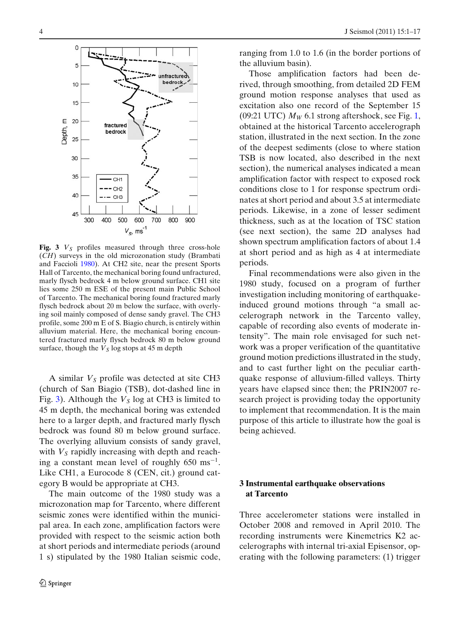<span id="page-4-0"></span>

**Fig. 3**  $V_s$  profiles measured through three cross-hole (*CH*) surveys in the old microzonation study (Brambati and Facciol[i](#page-16-0) [1980\)](#page-16-0). At CH2 site, near the present Sports Hall of Tarcento, the mechanical boring found unfractured, marly flysch bedrock 4 m below ground surface. CH1 site lies some 250 m ESE of the present main Public School of Tarcento. The mechanical boring found fractured marly flysch bedrock about 20 m below the surface, with overlying soil mainly composed of dense sandy gravel. The CH3 profile, some 200 m E of S. Biagio church, is entirely within alluvium material. Here, the mechanical boring encountered fractured marly flysch bedrock 80 m below ground surface, though the  $V<sub>S</sub>$  log stops at 45 m depth

A similar  $V<sub>S</sub>$  profile was detected at site CH3 (church of San Biagio (TSB), dot-dashed line in Fig. 3). Although the  $V<sub>S</sub>$  log at CH3 is limited to 45 m depth, the mechanical boring was extended here to a larger depth, and fractured marly flysch bedrock was found 80 m below ground surface. The overlying alluvium consists of sandy gravel, with  $V<sub>S</sub>$  rapidly increasing with depth and reaching a constant mean level of roughly 650 ms<sup>−</sup><sup>1</sup>. Like CH1, a Eurocode 8 (CEN, cit.) ground category B would be appropriate at CH3.

The main outcome of the 1980 study was a microzonation map for Tarcento, where different seismic zones were identified within the municipal area. In each zone, amplification factors were provided with respect to the seismic action both at short periods and intermediate periods (around 1 s) stipulated by the 1980 Italian seismic code, ranging from 1.0 to 1.6 (in the border portions of the alluvium basin).

Those amplification factors had been derived, through smoothing, from detailed 2D FEM ground motion response analyses that used as excitation also one record of the September 15 (09:21 UTC)  $M_W$  6.1 strong aftershock, see Fig. [1,](#page-2-0) obtained at the historical Tarcento accelerograph station, illustrated in the next section. In the zone of the deepest sediments (close to where station TSB is now located, also described in the next section), the numerical analyses indicated a mean amplification factor with respect to exposed rock conditions close to 1 for response spectrum ordinates at short period and about 3.5 at intermediate periods. Likewise, in a zone of lesser sediment thickness, such as at the location of TSC station (see next section), the same 2D analyses had shown spectrum amplification factors of about 1.4 at short period and as high as 4 at intermediate periods.

Final recommendations were also given in the 1980 study, focused on a program of further investigation including monitoring of earthquakeinduced ground motions through "a small accelerograph network in the Tarcento valley, capable of recording also events of moderate intensity". The main role envisaged for such network was a proper verification of the quantitative ground motion predictions illustrated in the study, and to cast further light on the peculiar earthquake response of alluvium-filled valleys. Thirty years have elapsed since then; the PRIN2007 research project is providing today the opportunity to implement that recommendation. It is the main purpose of this article to illustrate how the goal is being achieved.

#### **3 Instrumental earthquake observations at Tarcento**

Three accelerometer stations were installed in October 2008 and removed in April 2010. The recording instruments were Kinemetrics K2 accelerographs with internal tri-axial Episensor, operating with the following parameters: (1) trigger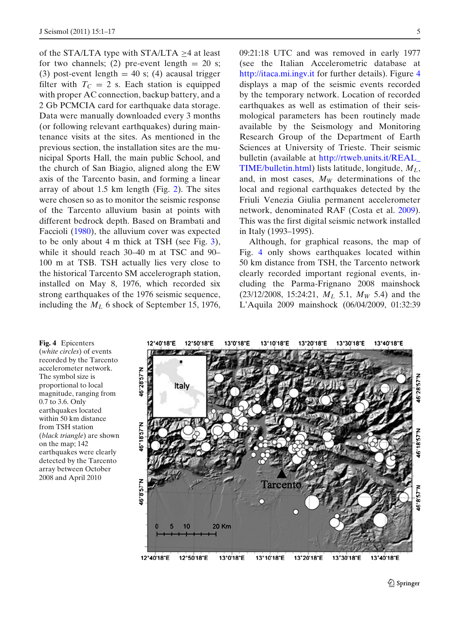of the STA/LTA type with STA/LTA ≥4 at least for two channels; (2) pre-event length  $= 20$  s; (3) post-event length =  $40$  s; (4) acausal trigger filter with  $T_c = 2$  s. Each station is equipped with proper AC connection, backup battery, and a 2 Gb PCMCIA card for earthquake data storage. Data were manually downloaded every 3 months (or following relevant earthquakes) during maintenance visits at the sites. As mentioned in the previous section, the installation sites are the municipal Sports Hall, the main public School, and the church of San Biagio, aligned along the EW axis of the Tarcento basin, and forming a linear array of about 1.5 km length (Fig. [2\)](#page-3-0). The sites were chosen so as to monitor the seismic response of the Tarcento alluvium basin at points with different bedrock depth. Based on Brambati and Facciol[i](#page-16-0) [\(1980](#page-16-0)), the alluvium cover was expected to be only about 4 m thick at TSH (see Fig. [3\)](#page-4-0), while it should reach 30–40 m at TSC and 90– 100 m at TSB. TSH actually lies very close to the historical Tarcento SM accelerograph station, installed on May 8, 1976, which recorded six strong earthquakes of the 1976 seismic sequence, including the *ML* 6 shock of September 15, 1976,

09:21:18 UTC and was removed in early 1977 (see the Italian Accelerometric database at <http://itaca.mi.ingv.it> for further details). Figure 4 displays a map of the seismic events recorded by the temporary network. Location of recorded earthquakes as well as estimation of their seismological parameters has been routinely made available by the Seismology and Monitoring Research Group of the Department of Earth Sciences at University of Trieste. Their seismic bulletin (available at [http://rtweb.units.it/REAL\\_](http://rtweb.units.it/REAL_TIME/bulletin.html) [TIME/bulletin.html\)](http://rtweb.units.it/REAL_TIME/bulletin.html) lists latitude, longitude, *ML*, and, in most cases,  $M_W$  determinations of the local and regional earthquakes detected by the Friuli Venezia Giulia permanent accelerometer network, denominated RAF (Costa et al[.](#page-16-0) [2009\)](#page-16-0). This was the first digital seismic network installed in Italy (1993–1995).

Although, for graphical reasons, the map of Fig. 4 only shows earthquakes located within 50 km distance from TSH, the Tarcento network clearly recorded important regional events, including the Parma-Frignano 2008 mainshock (23/12/2008, 15:24:21, *ML* 5.1, *MW* 5.4) and the L'Aquila 2009 mainshock (06/04/2009, 01:32:39

**Fig. 4** Epicenters (*white circles*) of events recorded by the Tarcento accelerometer network. The symbol size is proportional to local magnitude, ranging from 0.7 to 3.6. Only earthquakes located within 50 km distance from TSH station (*black triangle*) are shown on the map; 142 earthquakes were clearly detected by the Tarcento array between October 2008 and April 2010

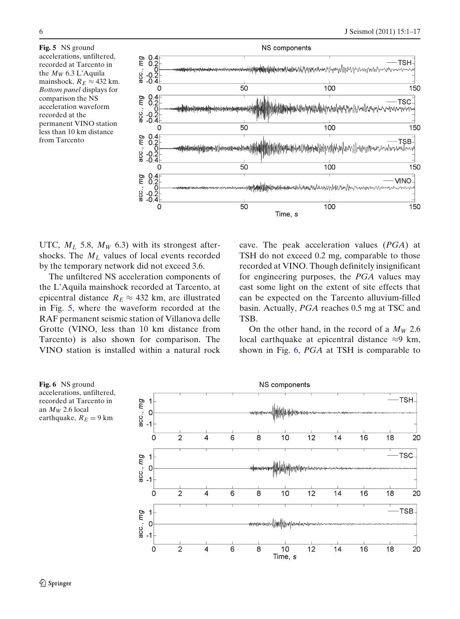**Fig. 5** NS ground accelerations, unfiltered, recorded at Tarcento in the *MW* 6.3 L'Aquila mainshock,  $R_E \approx 432$  km. *Bottom panel* displays for comparison the NS acceleration waveform recorded at the permanent VINO station less than 10 km distance from Tarcento



UTC,  $M_L$  5.8,  $M_W$  6.3) with its strongest aftershocks. The  $M_L$  values of local events recorded by the temporary network did not exceed 3.6.

The unfiltered NS acceleration components of the L'Aquila mainshock recorded at Tarcento, at epicentral distance  $R_E \approx 432$  km, are illustrated in Fig. 5, where the waveform recorded at the RAF permanent seismic station of Villanova delle Grotte (VINO, less than 10 km distance from Tarcento) is also shown for comparison. The VINO station is installed within a natural rock cave. The peak acceleration values (*PGA*) at TSH do not exceed 0.2 mg, comparable to those recorded at VINO. Though definitely insignificant for engineering purposes, the *PGA* values may cast some light on the extent of site effects that can be expected on the Tarcento alluvium-filled basin. Actually, *PGA* reaches 0.5 mg at TSC and TSB.

On the other hand, in the record of a  $M_W$  2.6 local earthquake at epicentral distance ≈9 km, shown in Fig. 6, *PGA* at TSH is comparable to

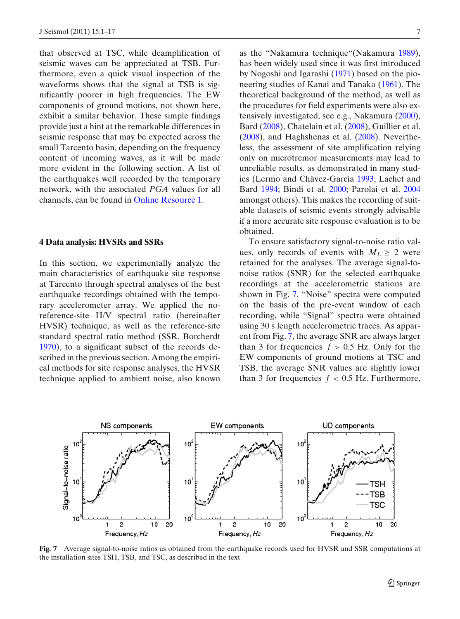that observed at TSC, while deamplification of seismic waves can be appreciated at TSB. Furthermore, even a quick visual inspection of the waveforms shows that the signal at TSB is significantly poorer in high frequencies. The EW components of ground motions, not shown here, exhibit a similar behavior. These simple findings provide just a hint at the remarkable differences in seismic response that may be expected across the small Tarcento basin, depending on the frequency content of incoming waves, as it will be made more evident in the following section. A list of the earthquakes well recorded by the temporary network, with the associated *PGA* values for all channels, can be found in Online Resource 1.

#### **4 Data analysis: HVSRs and SSRs**

In this section, we experimentally analyze the main characteristics of earthquake site response at Tarcento through spectral analyses of the best earthquake recordings obtained with the temporary accelerometer array. We applied the noreference-site H/V spectral ratio (hereinafter HVSR) technique, as well as the reference-site standard spectral ratio method (SSR, Borcherd[t](#page-16-0) [1970\)](#page-16-0), to a significant subset of the records described in the previous section. Among the empirical methods for site response analyses, the HVSR technique applied to ambient noise, also known as the "Nakamura technique"(Nakamur[a](#page-16-0) [1989\)](#page-16-0), has been widely used since it was first introduced by Nogoshi and Igarash[i](#page-17-0) [\(1971\)](#page-17-0) based on the pioneering studies of Kanai and Tanak[a](#page-16-0) [\(1961\)](#page-16-0). The theoretical background of the method, as well as the procedures for field experiments were also extensively investigated, see e.g., Nakamur[a](#page-16-0) [\(2000\)](#page-16-0), Bar[d](#page-16-0) [\(2008\)](#page-16-0), Chatelain et al[.](#page-16-0) [\(2008\)](#page-16-0), Guillier et al[.](#page-16-0) [\(2008\)](#page-16-0), and Haghshenas et al[.](#page-16-0) [\(2008](#page-16-0)). Nevertheless, the assessment of site amplification relying only on microtremor measurements may lead to unreliable results, as demonstrated in many studies (Lermo and Chàvez-Garcì[a](#page-16-0) [1993;](#page-16-0) Lachet and Bar[d](#page-16-0) [1994;](#page-16-0) Bindi et al[.](#page-16-0) [2000;](#page-16-0) Parolai et al[.](#page-17-0) [2004](#page-17-0) amongst others). This makes the recording of suitable datasets of seismic events strongly advisable if a more accurate site response evaluation is to be obtained.

To ensure satisfactory signal-to-noise ratio values, only records of events with  $M_L \geq 2$  were retained for the analyses. The average signal-tonoise ratios (SNR) for the selected earthquake recordings at the accelerometric stations are shown in Fig. 7. "Noise" spectra were computed on the basis of the pre-event window of each recording, while "Signal" spectra were obtained using 30 s length accelerometric traces. As apparent from Fig. 7, the average SNR are always larger than 3 for frequencies  $f > 0.5$  Hz. Only for the EW components of ground motions at TSC and TSB, the average SNR values are slightly lower than 3 for frequencies  $f < 0.5$  Hz. Furthermore,



**Fig. 7** Average signal-to-noise ratios as obtained from the earthquake records used for HVSR and SSR computations at the installation sites TSH, TSB, and TSC, as described in the text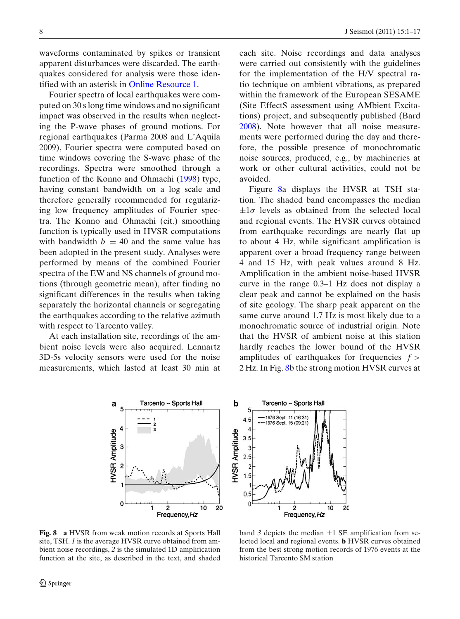<span id="page-8-0"></span>waveforms contaminated by spikes or transient apparent disturbances were discarded. The earthquakes considered for analysis were those identified with an asterisk in Online Resource 1.

Fourier spectra of local earthquakes were computed on 30 s long time windows and no significant impact was observed in the results when neglecting the P-wave phases of ground motions. For regional earthquakes (Parma 2008 and L'Aquila 2009), Fourier spectra were computed based on time windows covering the S-wave phase of the recordings. Spectra were smoothed through a function of the Konno and Ohmach[i](#page-16-0) [\(1998\)](#page-16-0) type, having constant bandwidth on a log scale and therefore generally recommended for regularizing low frequency amplitudes of Fourier spectra. The Konno and Ohmachi (cit.) smoothing function is typically used in HVSR computations with bandwidth  $b = 40$  and the same value has been adopted in the present study. Analyses were performed by means of the combined Fourier spectra of the EW and NS channels of ground motions (through geometric mean), after finding no significant differences in the results when taking separately the horizontal channels or segregating the earthquakes according to the relative azimuth with respect to Tarcento valley.

At each installation site, recordings of the ambient noise levels were also acquired. Lennartz 3D-5s velocity sensors were used for the noise measurements, which lasted at least 30 min at each site. Noise recordings and data analyses were carried out consistently with the guidelines for the implementation of the H/V spectral ratio technique on ambient vibrations, as prepared within the framework of the European SESAME (Site EffectS assessment using AMbient Excitations) project, and subsequently published (Bar[d](#page-16-0) [2008\)](#page-16-0). Note however that all noise measurements were performed during the day and therefore, the possible presence of monochromatic noise sources, produced, e.g., by machineries at work or other cultural activities, could not be avoided.

Figure 8a displays the HVSR at TSH station. The shaded band encompasses the median  $\pm 1\sigma$  levels as obtained from the selected local and regional events. The HVSR curves obtained from earthquake recordings are nearly flat up to about 4 Hz, while significant amplification is apparent over a broad frequency range between 4 and 15 Hz, with peak values around 8 Hz. Amplification in the ambient noise-based HVSR curve in the range 0.3–1 Hz does not display a clear peak and cannot be explained on the basis of site geology. The sharp peak apparent on the same curve around 1.7 Hz is most likely due to a monochromatic source of industrial origin. Note that the HVSR of ambient noise at this station hardly reaches the lower bound of the HVSR amplitudes of earthquakes for frequencies  $f$  > 2 Hz. In Fig. 8b the strong motion HVSR curves at



band  $\beta$  depicts the median  $\pm 1$  SE amplification from selected local and regional events. **b** HVSR curves obtained from the best strong motion records of 1976 events at the historical Tarcento SM station

 $10$ 20



þ

**HVSR Amplitude** 

5

 $\Delta$ 

3  $2.5$  $\overline{2}$  $1.5$ 

4.5

 $3.5$ 

 $0.5$  $\Omega$  Tarcento - Sports Hall

 $\overline{c}$ 

Frequency, Hz

1976 Sept. 11 (16:31)

1976 Sept. 15 (09:21)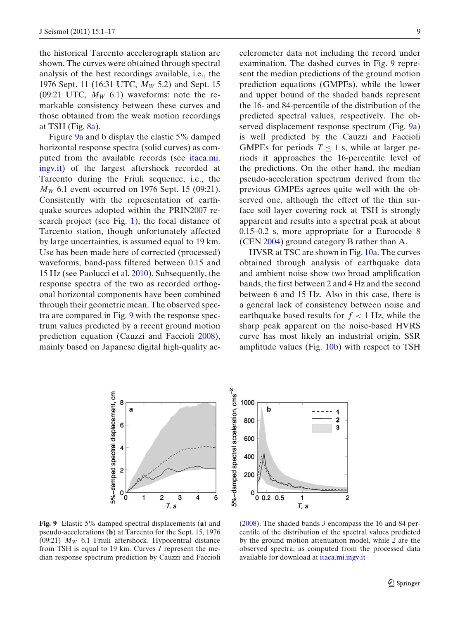the historical Tarcento accelerograph station are shown. The curves were obtained through spectral analysis of the best recordings available, i.e., the 1976 Sept. 11 (16:31 UTC, *MW* 5.2) and Sept. 15 (09:21 UTC,  $M_W$  6.1) waveforms: note the remarkable consistency between these curves and those obtained from the weak motion recordings at TSH (Fig.  $8a$ ).

Figure 9a and b display the elastic 5% damped horizontal response spectra (solid curves) as computed from the available records (see [itaca.mi.](http://itaca.mi.ingv.it) [ingv.it\)](http://itaca.mi.ingv.it) of the largest aftershock recorded at Tarcento during the Friuli sequence, i.e., the *M<sub>W</sub>* 6.1 event occurred on 1976 Sept. 15 (09:21). Consistently with the representation of earthquake sources adopted within the PRIN2007 research project (see Fig. [1\)](#page-2-0), the focal distance of Tarcento station, though unfortunately affected by large uncertainties, is assumed equal to 19 km. Use has been made here of corrected (processed) waveforms, band-pass filtered between 0.15 and 15 Hz (see Paolucci et al[.](#page-17-0) [2010](#page-17-0)). Subsequently, the response spectra of the two as recorded orthogonal horizontal components have been combined through their geometric mean. The observed spectra are compared in Fig. 9 with the response spectrum values predicted by a recent ground motion prediction equation (Cauzzi and Facciol[i](#page-16-0) [2008\)](#page-16-0), mainly based on Japanese digital high-quality accelerometer data not including the record under examination. The dashed curves in Fig. 9 represent the median predictions of the ground motion prediction equations (GMPEs), while the lower and upper bound of the shaded bands represent the 16- and 84-percentile of the distribution of the predicted spectral values, respectively. The observed displacement response spectrum (Fig. 9a) is well predicted by the Cauzzi and Faccioli GMPEs for periods  $T \leq 1$  s, while at larger periods it approaches the 16-percentile level of the predictions. On the other hand, the median pseudo-acceleration spectrum derived from the previous GMPEs agrees quite well with the observed one, although the effect of the thin surface soil layer covering rock at TSH is strongly apparent and results into a spectral peak at about 0.15–0.2 s, more appropriate for a Eurocode 8 (CE[N](#page-16-0) [2004\)](#page-16-0) ground category B rather than A.

HVSR at TSC are shown in Fig. [10a](#page-10-0). The curves obtained through analysis of earthquake data and ambient noise show two broad amplification bands, the first between 2 and 4 Hz and the second between 6 and 15 Hz. Also in this case, there is a general lack of consistency between noise and earthquake based results for  $f < 1$  Hz, while the sharp peak apparent on the noise-based HVRS curve has most likely an industrial origin. SSR amplitude values (Fig. [10b](#page-10-0)) with respect to TSH



**Fig. 9** Elastic 5% damped spectral displacements (**a**) and pseudo-accelerations (**b**) at Tarcento for the Sept. 15, 1976 (09:21)  $M_W$  6.1 Friuli aftershock. Hypocentral distance from TSH is equal to 19 km. Curves *1* represent the median response spectrum prediction by Cauzzi and Facciol[i](#page-16-0)

[\(2008](#page-16-0)). The shaded bands *3* encompass the 16 and 84 percentile of the distribution of the spectral values predicted by the ground motion attenuation model, while *2* are the observed spectra, as computed from the processed data available for download at [itaca.mi.ingv.it](http://itaca.mi.ingv.it)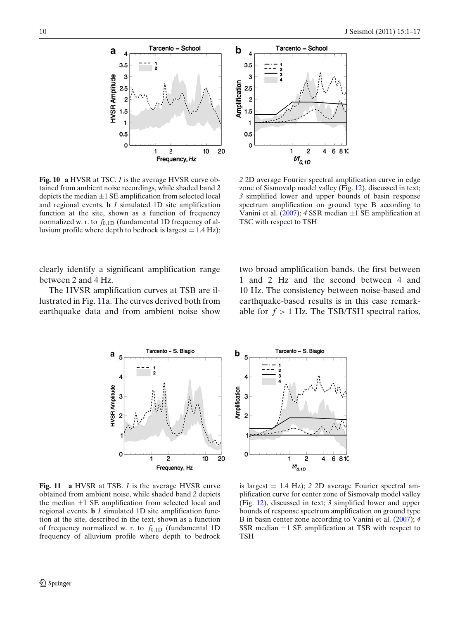<span id="page-10-0"></span>



**Fig. 10 a** HVSR at TSC. *1* is the average HVSR curve obtained from ambient noise recordings, while shaded band *2* depicts the median ±1 SE amplification from selected local and regional events. **b** *1* simulated 1D site amplification function at the site, shown as a function of frequency normalized w. r. to  $f_{0,1D}$  (fundamental 1D frequency of alluvium profile where depth to bedrock is largest  $= 1.4$  Hz);

*2* 2D average Fourier spectral amplification curve in edge zone of Sismovalp model valley (Fig. [12\)](#page-12-0), discussed in text; *3* simplified lower and upper bounds of basin response spectrum amplification on ground type B according to Vanini et al[.](#page-17-0) [\(2007](#page-17-0)); *4* SSR median ±1 SE amplification at TSC with respect to TSH

clearly identify a significant amplification range between 2 and 4 Hz.

The HVSR amplification curves at TSB are illustrated in Fig. 11a. The curves derived both from earthquake data and from ambient noise show two broad amplification bands, the first between 1 and 2 Hz and the second between 4 and 10 Hz. The consistency between noise-based and earthquake-based results is in this case remarkable for  $f > 1$  Hz. The TSB/TSH spectral ratios,



**Fig. 11 a** HVSR at TSB. *1* is the average HVSR curve obtained from ambient noise, while shaded band *2* depicts the median  $\pm 1$  SE amplification from selected local and regional events. **b** *1* simulated 1D site amplification function at the site, described in the text, shown as a function of frequency normalized w. r. to *f*0,1D (fundamental 1D frequency of alluvium profile where depth to bedrock

is largest = 1.4 Hz); *2* 2D average Fourier spectral amplification curve for center zone of Sismovalp model valley (Fig. [12\)](#page-12-0), discussed in text; *3* simplified lower and upper bounds of response spectrum amplification on ground type B in basin center zone according to Vanini et al[.](#page-17-0) [\(2007](#page-17-0)); *4* SSR median  $\pm 1$  SE amplification at TSB with respect to **TSH**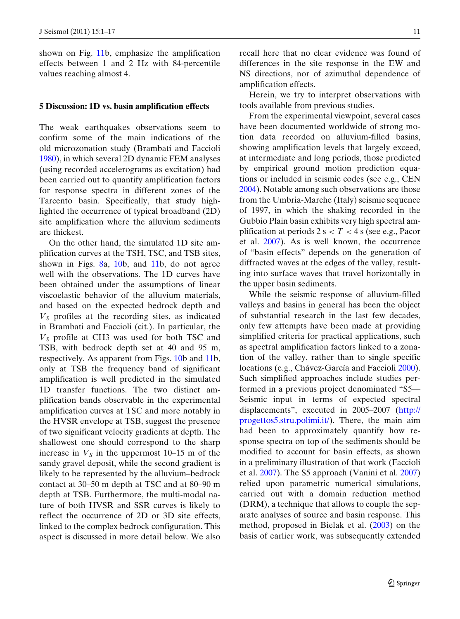shown on Fig. [11b](#page-10-0), emphasize the amplification effects between 1 and 2 Hz with 84-percentile values reaching almost 4.

#### **5 Discussion: 1D vs. basin amplification effects**

The weak earthquakes observations seem to confirm some of the main indications of the old microzonation study (Brambati and Facciol[i](#page-16-0) [1980\)](#page-16-0), in which several 2D dynamic FEM analyses (using recorded accelerograms as excitation) had been carried out to quantify amplification factors for response spectra in different zones of the Tarcento basin. Specifically, that study highlighted the occurrence of typical broadband (2D) site amplification where the alluvium sediments are thickest.

On the other hand, the simulated 1D site amplification curves at the TSH, TSC, and TSB sites, shown in Figs. [8a](#page-8-0), [10b](#page-10-0), and [11b](#page-10-0), do not agree well with the observations. The 1D curves have been obtained under the assumptions of linear viscoelastic behavior of the alluvium materials, and based on the expected bedrock depth and  $V<sub>S</sub>$  profiles at the recording sites, as indicated in Brambati and Faccioli (cit.). In particular, the  $V<sub>S</sub>$  profile at CH3 was used for both TSC and TSB, with bedrock depth set at 40 and 95 m, respectively. As apparent from Figs. [10b](#page-10-0) and [11b](#page-10-0), only at TSB the frequency band of significant amplification is well predicted in the simulated 1D transfer functions. The two distinct amplification bands observable in the experimental amplification curves at TSC and more notably in the HVSR envelope at TSB, suggest the presence of two significant velocity gradients at depth. The shallowest one should correspond to the sharp increase in  $V<sub>S</sub>$  in the uppermost 10–15 m of the sandy gravel deposit, while the second gradient is likely to be represented by the alluvium–bedrock contact at 30–50 m depth at TSC and at 80–90 m depth at TSB. Furthermore, the multi-modal nature of both HVSR and SSR curves is likely to reflect the occurrence of 2D or 3D site effects, linked to the complex bedrock configuration. This aspect is discussed in more detail below. We also recall here that no clear evidence was found of differences in the site response in the EW and NS directions, nor of azimuthal dependence of amplification effects.

Herein, we try to interpret observations with tools available from previous studies.

From the experimental viewpoint, several cases have been documented worldwide of strong motion data recorded on alluvium-filled basins, showing amplification levels that largely exceed, at intermediate and long periods, those predicted by empirical ground motion prediction equations or included in seismic codes (see e.g., CE[N](#page-16-0) [2004\)](#page-16-0). Notable among such observations are those from the Umbria-Marche (Italy) seismic sequence of 1997, in which the shaking recorded in the Gubbio Plain basin exhibits very high spectral amplification at periods  $2 s < T < 4 s$  (see e.g., Pacor et al[.](#page-17-0) [2007\)](#page-17-0). As is well known, the occurrence of "basin effects" depends on the generation of diffracted waves at the edges of the valley, resulting into surface waves that travel horizontally in the upper basin sediments.

While the seismic response of alluvium-filled valleys and basins in general has been the object of substantial research in the last few decades, only few attempts have been made at providing simplified criteria for practical applications, such as spectral amplification factors linked to a zonation of the valley, rather than to single specific locations (e.g., Chávez-García and Facciol[i](#page-16-0) [2000\)](#page-16-0). Such simplified approaches include studies performed in a previous project denominated "S5— Seismic input in terms of expected spectral displacements", executed in 2005–2007 [\(http://](http://progettos5.stru.polimi.it/) [progettos5.stru.polimi.it/\)](http://progettos5.stru.polimi.it/). There, the main aim had been to approximately quantify how response spectra on top of the sediments should be modified to account for basin effects, as shown in a preliminary illustration of that work (Faccioli et al[.](#page-16-0) [2007](#page-16-0)). The S5 approach (Vanini et al[.](#page-17-0) [2007](#page-17-0)) relied upon parametric numerical simulations, carried out with a domain reduction method (DRM), a technique that allows to couple the separate analyses of source and basin response. This method, proposed in Bielak et al[.](#page-16-0) [\(2003\)](#page-16-0) on the basis of earlier work, was subsequently extended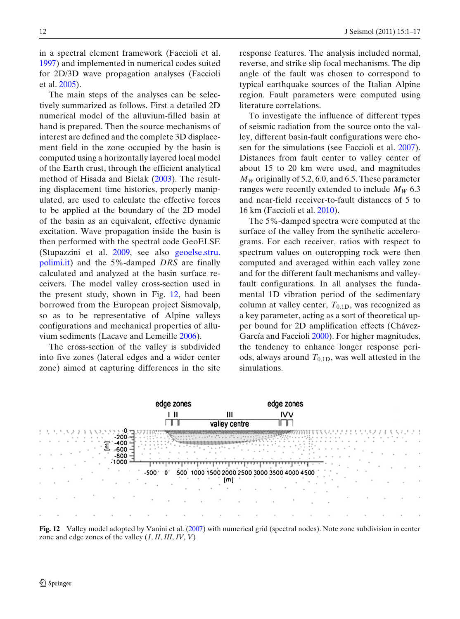<span id="page-12-0"></span>in a spectral element framework (Faccioli et al[.](#page-16-0) [1997\)](#page-16-0) and implemented in numerical codes suited for 2D/3D wave propagation analyses (Faccioli et al[.](#page-16-0) [2005](#page-16-0)).

The main steps of the analyses can be selectively summarized as follows. First a detailed 2D numerical model of the alluvium-filled basin at hand is prepared. Then the source mechanisms of interest are defined and the complete 3D displacement field in the zone occupied by the basin is computed using a horizontally layered local model of the Earth crust, through the efficient analytical method of Hisada and Biela[k](#page-16-0) [\(2003](#page-16-0)). The resulting displacement time histories, properly manipulated, are used to calculate the effective forces to be applied at the boundary of the 2D model of the basin as an equivalent, effective dynamic excitation. Wave propagation inside the basin is then performed with the spectral code GeoELSE (Stupazzini et al[.](#page-17-0) [2009,](#page-17-0) see also [geoelse.stru.](http://geoelse.stru.polimi.it) [polimi.it\)](http://geoelse.stru.polimi.it) and the 5%-damped *DRS* are finally calculated and analyzed at the basin surface receivers. The model valley cross-section used in the present study, shown in Fig. 12, had been borrowed from the European project Sismovalp, so as to be representative of Alpine valleys configurations and mechanical properties of alluvium sediments (Lacave and Lemeill[e](#page-16-0) [2006\)](#page-16-0).

The cross-section of the valley is subdivided into five zones (lateral edges and a wider center zone) aimed at capturing differences in the site response features. The analysis included normal, reverse, and strike slip focal mechanisms. The dip angle of the fault was chosen to correspond to typical earthquake sources of the Italian Alpine region. Fault parameters were computed using literature correlations.

To investigate the influence of different types of seismic radiation from the source onto the valley, different basin-fault configurations were chosen for the simulations (see Faccioli et al[.](#page-16-0) [2007\)](#page-16-0). Distances from fault center to valley center of about 15 to 20 km were used, and magnitudes  $M_W$  originally of 5.2, 6.0, and 6.5. These parameter ranges were recently extended to include  $M_W$  6.3 and near-field receiver-to-fault distances of 5 to 16 km (Faccioli et al[.](#page-16-0) [2010\)](#page-16-0).

The 5%-damped spectra were computed at the surface of the valley from the synthetic accelerograms. For each receiver, ratios with respect to spectrum values on outcropping rock were then computed and averaged within each valley zone and for the different fault mechanisms and valleyfault configurations. In all analyses the fundamental 1D vibration period of the sedimentary column at valley center,  $T_{0,1D}$ , was recognized as a key parameter, acting as a sort of theoretical upper bound for 2D amplification effects (Chávez-García and Facciol[i](#page-16-0) [2000](#page-16-0)). For higher magnitudes, the tendency to enhance longer response periods, always around  $T_{0,1D}$ , was well attested in the simulations.



**Fig. 12** Valley model adopted by Vanini et al[.](#page-17-0) [\(2007](#page-17-0)) with numerical grid (spectral nodes). Note zone subdivision in center zone and edge zones of the valley (*I*, *II*, *III*, *IV*, *V*)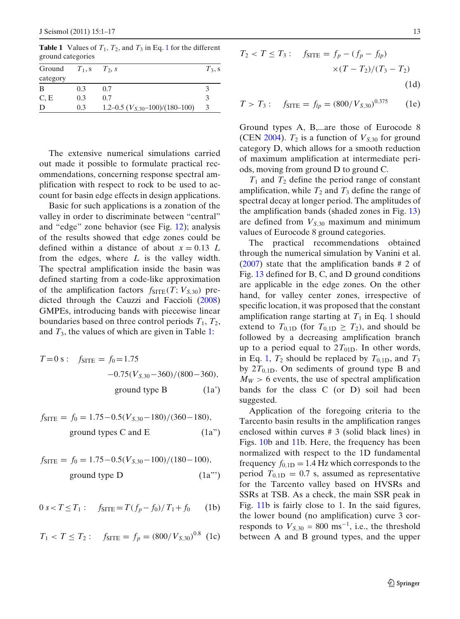| $H2 = H1 + H2 + H1$ |           |                                     |           |
|---------------------|-----------|-------------------------------------|-----------|
| Ground              | $T_1$ , s | $T_2$ , s                           | $T_3$ , s |
| category            |           |                                     |           |
| B                   | 0.3       | 0.7                                 |           |
| C, E                | 0.3       | 0.7                                 | 3         |
| D                   | 0.3       | 1.2–0.5 $(V_{S,30}$ –100)/(180–100) | 3         |

<span id="page-13-0"></span>**Table 1** Values of  $T_1$ ,  $T_2$ , and  $T_3$  in Eq. 1 for the different ground categories

The extensive numerical simulations carried out made it possible to formulate practical recommendations, concerning response spectral amplification with respect to rock to be used to account for basin edge effects in design applications.

Basic for such applications is a zonation of the valley in order to discriminate between "central" and "edge" zone behavior (see Fig. [12\)](#page-12-0); analysis of the results showed that edge zones could be defined within a distance of about  $x = 0.13$  *L* from the edges, where *L* is the valley width. The spectral amplification inside the basin was defined starting from a code-like approximation of the amplification factors  $f_{\text{SITE}}(T; V_{S,30})$  predicted through the Cauzzi and Facciol[i](#page-16-0) [\(2008](#page-16-0)) GMPEs, introducing bands with piecewise linear boundaries based on three control periods  $T_1$ ,  $T_2$ , and  $T_3$ , the values of which are given in Table 1:

$$
T = 0 \text{ s}: \quad f_{\text{STTE}} = f_0 = 1.75
$$

$$
-0.75(V_{S,30} - 360)/(800 - 360),
$$
ground type B (1a')

$$
f_{\text{STTE}} = f_0 = 1.75 - 0.5(V_{S,30} - 180) / (360 - 180),
$$
  
ground types C and E (1a")

$$
f_{\text{STTE}} = f_0 = 1.75 - 0.5(V_{S,30} - 100) / (180 - 100),
$$
  
ground type D (1a'')

$$
0 s < T \le T_1: \quad f_{\text{STTE}} = T(f_p - f_0) / T_1 + f_0 \tag{1b}
$$

$$
T_1 < T \leq T_2
$$
:  $f_{\text{STTE}} = f_p = (800/V_{S,30})^{0.8}$  (1c)

$$
T_2 < T \le T_3: \quad f_{\text{STTE}} = f_p - (f_p - f_{lp}) \\
\times (T - T_2) / (T_3 - T_2) \\
\tag{1d}
$$

$$
T > T_3: \quad f_{\text{STTE}} = f_{lp} = (800/V_{S,30})^{0.375} \tag{1e}
$$

Ground types A, B,...are those of Eurocode 8 (CE[N](#page-16-0) [2004](#page-16-0)).  $T_2$  is a function of  $V_{S,30}$  for ground category D, which allows for a smooth reduction of maximum amplification at intermediate periods, moving from ground D to ground C.

 $T_1$  and  $T_2$  define the period range of constant amplification, while  $T_2$  and  $T_3$  define the range of spectral decay at longer period. The amplitudes of the amplification bands (shaded zones in Fig. [13\)](#page-14-0) are defined from  $V_{S,30}$  maximum and minimum values of Eurocode 8 ground categories.

The practical recommendations obtained through the numerical simulation by Vanini et al[.](#page-17-0) [\(2007\)](#page-17-0) state that the amplification bands # 2 of Fig. [13](#page-14-0) defined for B, C, and D ground conditions are applicable in the edge zones. On the other hand, for valley center zones, irrespective of specific location, it was proposed that the constant amplification range starting at  $T_1$  in Eq. 1 should extend to  $T_{0,1D}$  (for  $T_{0,1D} \geq T_2$ ), and should be followed by a decreasing amplification branch up to a period equal to  $2T_{01D}$ . In other words, in Eq. 1,  $T_2$  should be replaced by  $T_{0.1D}$ , and  $T_3$ by  $2T_{0,1D}$ . On sediments of ground type B and  $M_W > 6$  events, the use of spectral amplification bands for the class C (or D) soil had been suggested.

Application of the foregoing criteria to the Tarcento basin results in the amplification ranges enclosed within curves # 3 (solid black lines) in Figs. [10b](#page-10-0) and [11b](#page-10-0). Here, the frequency has been normalized with respect to the 1D fundamental frequency  $f_{0,1D} = 1.4$  Hz which corresponds to the period  $T_{0,1D} = 0.7$  s, assumed as representative for the Tarcento valley based on HVSRs and SSRs at TSB. As a check, the main SSR peak in Fig. [11b](#page-10-0) is fairly close to 1. In the said figures, the lower bound (no amplification) curve 3 corresponds to  $V_{S,30} = 800 \text{ ms}^{-1}$ , i.e., the threshold between A and B ground types, and the upper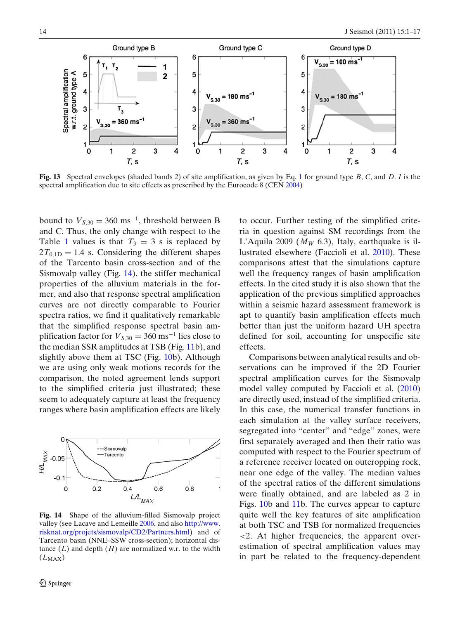<span id="page-14-0"></span>

**Fig. 13** Spectral envelopes (shaded bands *2*) of site amplification, as given by Eq. [1](#page-13-0) for ground type *B*, *C*, and *D*. *1* is the spectral amplification due to site effects as prescribed by the Eurocode 8 (CE[N](#page-16-0) [2004\)](#page-16-0)

bound to  $V_{S,30} = 360 \text{ ms}^{-1}$ , threshold between B and C. Thus, the only change with respect to the Table [1](#page-13-0) values is that  $T_3 = 3$  s is replaced by  $2T_{0,1D} = 1.4$  s. Considering the different shapes of the Tarcento basin cross-section and of the Sismovalp valley (Fig. 14), the stiffer mechanical properties of the alluvium materials in the former, and also that response spectral amplification curves are not directly comparable to Fourier spectra ratios, we find it qualitatively remarkable that the simplified response spectral basin amplification factor for  $V_{S,30} = 360 \text{ ms}^{-1}$  lies close to the median SSR amplitudes at TSB (Fig. [11b](#page-10-0)), and slightly above them at TSC (Fig. [10b](#page-10-0)). Although we are using only weak motions records for the comparison, the noted agreement lends support to the simplified criteria just illustrated; these seem to adequately capture at least the frequency ranges where basin amplification effects are likely



**Fig. 14** Shape of the alluvium-filled Sismovalp project valley (see Lacave and Lemeill[e](#page-16-0) [2006](#page-16-0), and also [http://www.](http://www.risknat.org/projets/sismovalp/CD2/Partners.html) [risknat.org/projets/sismovalp/CD2/Partners.html\)](http://www.risknat.org/projets/sismovalp/CD2/Partners.html) and of Tarcento basin (NNE–SSW cross-section); horizontal distance  $(L)$  and depth  $(H)$  are normalized w.r. to the width (*L*MAX)

to occur. Further testing of the simplified criteria in question against SM recordings from the L'Aquila 2009 ( $M_W$  6.3), Italy, earthquake is illustrated elsewhere (Faccioli et al[.](#page-16-0) [2010\)](#page-16-0). These comparisons attest that the simulations capture well the frequency ranges of basin amplification effects. In the cited study it is also shown that the application of the previous simplified approaches within a seismic hazard assessment framework is apt to quantify basin amplification effects much better than just the uniform hazard UH spectra defined for soil, accounting for unspecific site effects.

Comparisons between analytical results and observations can be improved if the 2D Fourier spectral amplification curves for the Sismovalp model valley computed by Faccioli et al[.](#page-16-0) [\(2010](#page-16-0)) are directly used, instead of the simplified criteria. In this case, the numerical transfer functions in each simulation at the valley surface receivers, segregated into "center" and "edge" zones, were first separately averaged and then their ratio was computed with respect to the Fourier spectrum of a reference receiver located on outcropping rock, near one edge of the valley. The median values of the spectral ratios of the different simulations were finally obtained, and are labeled as 2 in Figs. [10b](#page-10-0) and [11b](#page-10-0). The curves appear to capture quite well the key features of site amplification at both TSC and TSB for normalized frequencies <2. At higher frequencies, the apparent overestimation of spectral amplification values may in part be related to the frequency-dependent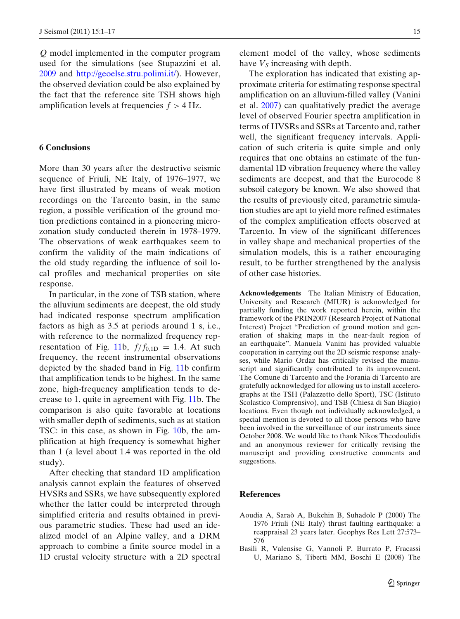<span id="page-15-0"></span>*Q* model implemented in the computer program used for the simulations (see Stupazzini et al[.](#page-17-0) [2009](#page-17-0) and [http://geoelse.stru.polimi.it/\)](http://geoelse.stru.polimi.it/). However, the observed deviation could be also explained by the fact that the reference site TSH shows high amplification levels at frequencies  $f > 4$  Hz.

#### **6 Conclusions**

More than 30 years after the destructive seismic sequence of Friuli, NE Italy, of 1976–1977, we have first illustrated by means of weak motion recordings on the Tarcento basin, in the same region, a possible verification of the ground motion predictions contained in a pioneering microzonation study conducted therein in 1978–1979. The observations of weak earthquakes seem to confirm the validity of the main indications of the old study regarding the influence of soil local profiles and mechanical properties on site response.

In particular, in the zone of TSB station, where the alluvium sediments are deepest, the old study had indicated response spectrum amplification factors as high as 3.5 at periods around 1 s, i.e., with reference to the normalized frequency rep-resentation of Fig. [11b](#page-10-0),  $f/f_{0,1D} = 1.4$ . At such frequency, the recent instrumental observations depicted by the shaded band in Fig. [11b](#page-10-0) confirm that amplification tends to be highest. In the same zone, high-frequency amplification tends to decrease to 1, quite in agreement with Fig. [11b](#page-10-0). The comparison is also quite favorable at locations with smaller depth of sediments, such as at station TSC: in this case, as shown in Fig. [10b](#page-10-0), the amplification at high frequency is somewhat higher than 1 (a level about 1.4 was reported in the old study).

After checking that standard 1D amplification analysis cannot explain the features of observed HVSRs and SSRs, we have subsequently explored whether the latter could be interpreted through simplified criteria and results obtained in previous parametric studies. These had used an idealized model of an Alpine valley, and a DRM approach to combine a finite source model in a 1D crustal velocity structure with a 2D spectral

element model of the valley, whose sediments have  $V<sub>S</sub>$  increasing with depth.

The exploration has indicated that existing approximate criteria for estimating response spectral amplification on an alluvium-filled valley (Vanini et al[.](#page-17-0) [2007\)](#page-17-0) can qualitatively predict the average level of observed Fourier spectra amplification in terms of HVSRs and SSRs at Tarcento and, rather well, the significant frequency intervals. Application of such criteria is quite simple and only requires that one obtains an estimate of the fundamental 1D vibration frequency where the valley sediments are deepest, and that the Eurocode 8 subsoil category be known. We also showed that the results of previously cited, parametric simulation studies are apt to yield more refined estimates of the complex amplification effects observed at Tarcento. In view of the significant differences in valley shape and mechanical properties of the simulation models, this is a rather encouraging result, to be further strengthened by the analysis of other case histories.

**Acknowledgements** The Italian Ministry of Education, University and Research (MIUR) is acknowledged for partially funding the work reported herein, within the framework of the PRIN2007 (Research Project of National Interest) Project "Prediction of ground motion and generation of shaking maps in the near-fault region of an earthquake". Manuela Vanini has provided valuable cooperation in carrying out the 2D seismic response analyses, while Mario Ordaz has critically revised the manuscript and significantly contributed to its improvement. The Comune di Tarcento and the Forania di Tarcento are gratefully acknowledged for allowing us to install accelerographs at the TSH (Palazzetto dello Sport), TSC (Istituto Scolastico Comprensivo), and TSB (Chiesa di San Biagio) locations. Even though not individually acknowledged, a special mention is devoted to all those persons who have been involved in the surveillance of our instruments since October 2008. We would like to thank Nikos Theodoulidis and an anonymous reviewer for critically revising the manuscript and providing constructive comments and suggestions.

#### **References**

- Aoudia A, Saraò A, Bukchin B, Suhadolc P (2000) The 1976 Friuli (NE Italy) thrust faulting earthquake: a reappraisal 23 years later. Geophys Res Lett 27:573– 576
- Basili R, Valensise G, Vannoli P, Burrato P, Fracassi U, Mariano S, Tiberti MM, Boschi E (2008) The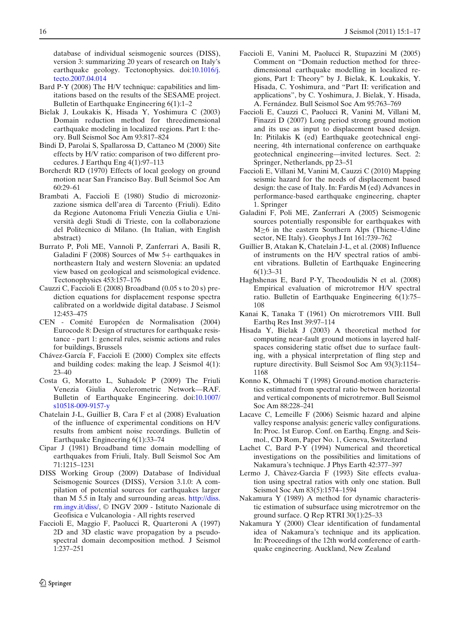<span id="page-16-0"></span>database of individual seismogenic sources (DISS), version 3: summarizing 20 years of research on Italy's earthquake geology. Tectonophysics. doi[:10.1016/j.](http://dx.doi.org/10.1016/j.tecto.2007.04.014) [tecto.2007.04.014](http://dx.doi.org/10.1016/j.tecto.2007.04.014)

- Bard P-Y (2008) The H/V technique: capabilities and limitations based on the results of the SESAME project. Bulletin of Earthquake Engineering 6(1):1–2
- Bielak J, Loukakis K, Hisada Y, Yoshimura C (2003) Domain reduction method for threedimensional earthquake modeling in localized regions. Part I: theory. Bull Seismol Soc Am 93:817–824
- Bindi D, Parolai S, Spallarossa D, Cattaneo M (2000) Site effects by H/V ratio: comparison of two different procedures. J Earthqu Eng 4(1):97–113
- Borcherdt RD (1970) Effects of local geology on ground motion near San Francisco Bay. Bull Seismol Soc Am 60:29–61
- Brambati A, Faccioli E (1980) Studio di microzonizzazione sismica dell'area di Tarcento (Friuli). Edito da Regione Autonoma Friuli Venezia Giulia e Università degli Studi di Trieste, con la collaborazione del Politecnico di Milano. (In Italian, with English abstract)
- Burrato P, Poli ME, Vannoli P, Zanferrari A, Basili R, Galadini F (2008) Sources of Mw 5+ earthquakes in northeastern Italy and western Slovenia: an updated view based on geological and seismological evidence. Tectonophysics 453:157–176
- Cauzzi C, Faccioli E (2008) Broadband (0.05 s to 20 s) prediction equations for displacement response spectra calibrated on a worldwide digital database. J Seismol 12:453–475
- CEN Comité Européen de Normalisation (2004) Eurocode 8: Design of structures for earthquake resistance - part 1: general rules, seismic actions and rules for buildings, Brussels
- Chávez-García F, Faccioli E (2000) Complex site effects and building codes: making the leap. J Seismol 4(1): 23–40
- Costa G, Moratto L, Suhadolc P (2009) The Friuli Venezia Giulia Accelerometric Network—RAF. Bulletin of Earthquake Engineering. doi[:10.1007/](http://dx.doi.org/10.1007/s10518-009-9157-y) [s10518-009-9157-y](http://dx.doi.org/10.1007/s10518-009-9157-y)
- Chatelain J-L, Guillier B, Cara F et al (2008) Evaluation of the influence of experimental conditions on H/V results from ambient noise recordings. Bulletin of Earthquake Engineering 6(1):33–74
- Cipar J (1981) Broadband time domain modelling of earthquakes from Friuli, Italy. Bull Seismol Soc Am 71:1215–1231
- DISS Working Group (2009) Database of Individual Seismogenic Sources (DISS), Version 3.1.0: A compilation of potential sources for earthquakes larger than M 5.5 in Italy and surrounding areas. [http://diss.](http://diss.rm.ingv.it/diss/) [rm.ingv.it/diss/,](http://diss.rm.ingv.it/diss/) © INGV 2009 - Istituto Nazionale di Geofisica e Vulcanologia - All rights reserved
- Faccioli E, Maggio F, Paolucci R, Quarteroni A (1997) 2D and 3D elastic wave propagation by a pseudospectral domain decomposition method. J Seismol 1:237–251
- Faccioli E, Vanini M, Paolucci R, Stupazzini M (2005) Comment on "Domain reduction method for threedimensional earthquake modelling in localized regions, Part I: Theory" by J. Bielak, K. Loukakis, Y. Hisada, C. Yoshimura, and "Part II: verification and applications", by C. Yoshimura, J. Bielak, Y. Hisada, A. Fernández. Bull Seismol Soc Am 95:763–769
- Faccioli E, Cauzzi C, Paolucci R, Vanini M, Villani M, Finazzi D (2007) Long period strong ground motion and its use as input to displacement based design. In: Pitilakis K (ed) Earthquake geotechnical engineering, 4th international conference on earthquake geotechnical engineering—invited lectures. Sect. 2: Springer, Netherlands, pp 23–51
- Faccioli E, Villani M, Vanini M, Cauzzi C (2010) Mapping seismic hazard for the needs of displacement based design: the case of Italy. In: Fardis M (ed) Advances in performance-based earthquake engineering, chapter 1. Springer
- Galadini F, Poli ME, Zanferrari A (2005) Seismogenic sources potentially responsible for earthquakes with M≥6 in the eastern Southern Alps (Thiene–Udine sector, NE Italy). Geophys J Int 161:739–762
- Guillier B, Atakan K, Chatelain J-L, et al. (2008) Influence of instruments on the H/V spectral ratios of ambient vibrations. Bulletin of Earthquake Engineering 6(1):3–31
- Haghshenas E, Bard P-Y, Theodoulidis N et al. (2008) Empirical evaluation of microtremor H/V spectral ratio. Bulletin of Earthquake Engineering 6(1):75– 108
- Kanai K, Tanaka T (1961) On microtremors VIII. Bull Earthq Res Inst 39:97–114
- Hisada Y, Bielak J (2003) A theoretical method for computing near-fault ground motions in layered halfspaces considering static offset due to surface faulting, with a physical interpretation of fling step and rupture directivity. Bull Seismol Soc Am 93(3):1154– 1168
- Konno K, Ohmachi T (1998) Ground-motion characteristics estimated from spectral ratio between horizontal and vertical components of microtremor. Bull Seismol Soc Am 88:228–241
- Lacave C, Lemeille F (2006) Seismic hazard and alpine valley response analysis: generic valley configurations. In: Proc. 1st Europ. Conf. on Earthq. Engng. and Seismol., CD Rom, Paper No. 1, Geneva, Switzerland
- Lachet C, Bard P-Y (1994) Numerical and theoretical investigations on the possibilities and limitations of Nakamura's technique. J Phys Earth 42:377–397
- Lermo J, Chàvez-Garcìa F (1993) Site effects evaluation using spectral ratios with only one station. Bull Seismol Soc Am 83(5):1574–1594
- Nakamura Y (1989) A method for dynamic characteristic estimation of subsurface using microtremor on the ground surface. Q Rep RTRI 30(1):25–33
- Nakamura Y (2000) Clear identification of fundamental idea of Nakamura's technique and its application. In: Proceedings of the 12th world conference of earthquake engineering. Auckland, New Zealand